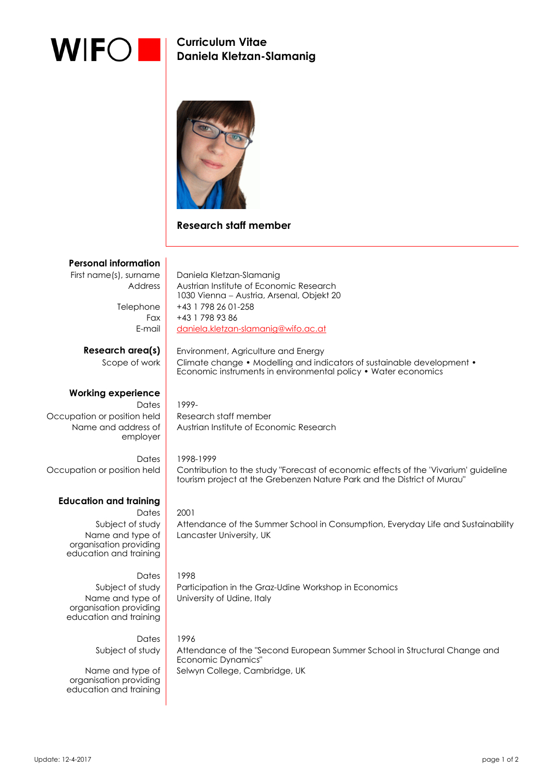

 $\overline{\phantom{a}}$ 

**Curriculum Vitae Daniela Kletzan-Slamanig** 



## **Research staff member**

| <b>Personal information</b>                      |                                                                                                                                                                |
|--------------------------------------------------|----------------------------------------------------------------------------------------------------------------------------------------------------------------|
| First name(s), surname                           | Daniela Kletzan-Slamanig                                                                                                                                       |
| Address                                          | Austrian Institute of Economic Research                                                                                                                        |
|                                                  | 1030 Vienna - Austria, Arsenal, Objekt 20                                                                                                                      |
| Telephone                                        | +43 1 798 26 01-258                                                                                                                                            |
| Fax                                              | +43 1 798 93 86                                                                                                                                                |
| E-mail                                           | daniela.kletzan-slamanig@wifo.ac.at                                                                                                                            |
| Research area(s)                                 | Environment, Agriculture and Energy                                                                                                                            |
| Scope of work                                    | Climate change • Modelling and indicators of sustainable development •                                                                                         |
|                                                  | Economic instruments in environmental policy • Water economics                                                                                                 |
|                                                  |                                                                                                                                                                |
| <b>Working experience</b>                        |                                                                                                                                                                |
| Dates<br>Occupation or position held             | 1999-<br>Research staff member                                                                                                                                 |
| Name and address of                              | Austrian Institute of Economic Research                                                                                                                        |
| employer                                         |                                                                                                                                                                |
|                                                  |                                                                                                                                                                |
| Dates                                            | 1998-1999                                                                                                                                                      |
| Occupation or position held                      | Contribution to the study "Forecast of economic effects of the 'Vivarium' guideline<br>tourism project at the Grebenzen Nature Park and the District of Murau" |
|                                                  |                                                                                                                                                                |
| <b>Education and training</b>                    |                                                                                                                                                                |
| Dates                                            | 2001                                                                                                                                                           |
| Subject of study                                 | Attendance of the Summer School in Consumption, Everyday Life and Sustainability                                                                               |
| Name and type of                                 | Lancaster University, UK                                                                                                                                       |
| organisation providing<br>education and training |                                                                                                                                                                |
|                                                  |                                                                                                                                                                |
| Dates                                            | 1998                                                                                                                                                           |
| Subject of study                                 | Participation in the Graz-Udine Workshop in Economics                                                                                                          |
| Name and type of                                 | University of Udine, Italy                                                                                                                                     |
| organisation providing<br>education and training |                                                                                                                                                                |
|                                                  |                                                                                                                                                                |
| Dates                                            | 1996                                                                                                                                                           |
| Subject of study                                 | Attendance of the "Second European Summer School in Structural Change and                                                                                      |
|                                                  | Economic Dynamics"                                                                                                                                             |

Selwyn College, Cambridge, UK

Name and type of organisation providing education and training